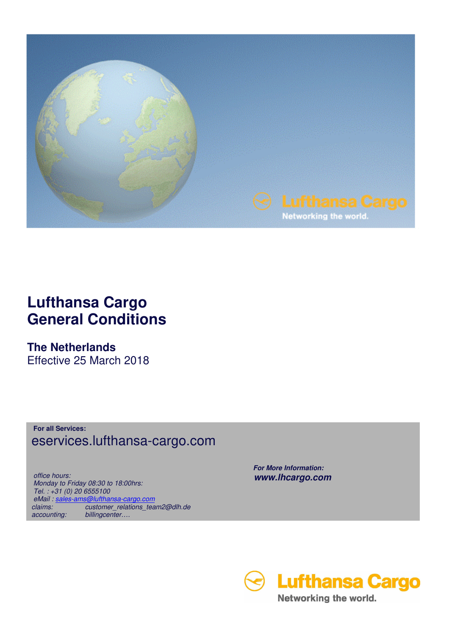

## **Lufthansa Cargo General Conditions**

**The Netherlands** 

Effective 25 March 2018

**For all Services:** eservices.lufthansa-cargo.com

 *office hours: Monday to Friday 08:30 to 18:00hrs: Tel. : +31 (0) 20 6555100 eMail : sales-ams@lufthansa-cargo.com claims: customer\_relations\_team2@dlh.de accounting: billingcenter….*

 *For More Information: www.lhcargo.com* 

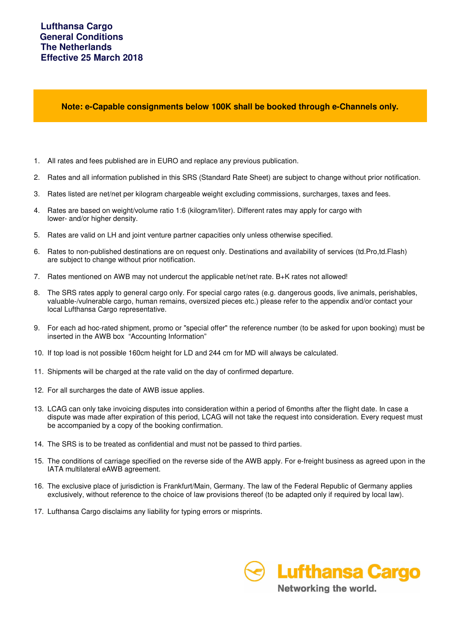**Note: e-Capable consignments below 100K shall be booked through e-Channels only.**

- 1. All rates and fees published are in EURO and replace any previous publication.
- 2. Rates and all information published in this SRS (Standard Rate Sheet) are subject to change without prior notification.
- 3. Rates listed are net/net per kilogram chargeable weight excluding commissions, surcharges, taxes and fees.
- 4. Rates are based on weight/volume ratio 1:6 (kilogram/liter). Different rates may apply for cargo with lower- and/or higher density.
- 5. Rates are valid on LH and joint venture partner capacities only unless otherwise specified.
- 6. Rates to non-published destinations are on request only. Destinations and availability of services (td.Pro,td.Flash) are subject to change without prior notification.
- 7. Rates mentioned on AWB may not undercut the applicable net/net rate. B+K rates not allowed!
- 8. The SRS rates apply to general cargo only. For special cargo rates (e.g. dangerous goods, live animals, perishables, valuable-/vulnerable cargo, human remains, oversized pieces etc.) please refer to the appendix and/or contact your local Lufthansa Cargo representative.
- 9. For each ad hoc-rated shipment, promo or "special offer" the reference number (to be asked for upon booking) must be inserted in the AWB box "Accounting Information"
- 10. If top load is not possible 160cm height for LD and 244 cm for MD will always be calculated.
- 11. Shipments will be charged at the rate valid on the day of confirmed departure.
- 12. For all surcharges the date of AWB issue applies.
- 13. LCAG can only take invoicing disputes into consideration within a period of 6months after the flight date. In case a dispute was made after expiration of this period, LCAG will not take the request into consideration. Every request must be accompanied by a copy of the booking confirmation.
- 14. The SRS is to be treated as confidential and must not be passed to third parties.
- 15. The conditions of carriage specified on the reverse side of the AWB apply. For e-freight business as agreed upon in the IATA multilateral eAWB agreement.
- 16. The exclusive place of jurisdiction is Frankfurt/Main, Germany. The law of the Federal Republic of Germany applies exclusively, without reference to the choice of law provisions thereof (to be adapted only if required by local law).
- 17. Lufthansa Cargo disclaims any liability for typing errors or misprints.

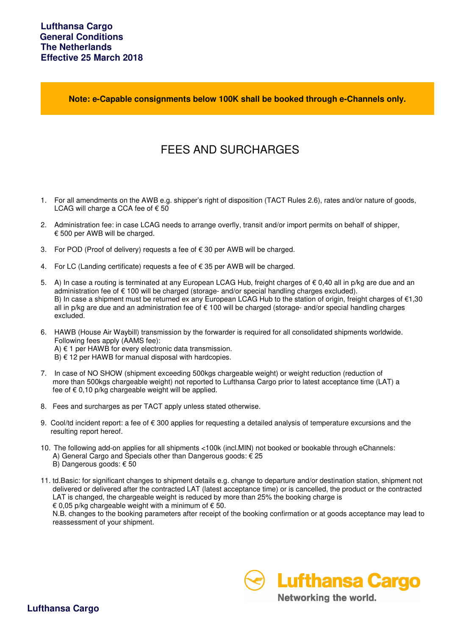**Note: e-Capable consignments below 100K shall be booked through e-Channels only.**

## FEES AND SURCHARGES

- 1. For all amendments on the AWB e.g. shipper's right of disposition (TACT Rules 2.6), rates and/or nature of goods, LCAG will charge a CCA fee of  $\epsilon$  50
- 2. Administration fee: in case LCAG needs to arrange overfly, transit and/or import permits on behalf of shipper, € 500 per AWB will be charged.
- 3. For POD (Proof of delivery) requests a fee of  $€ 30$  per AWB will be charged.
- 4. For LC (Landing certificate) requests a fee of € 35 per AWB will be charged.
- 5. A) In case a routing is terminated at any European LCAG Hub, freight charges of € 0,40 all in p/kg are due and an administration fee of € 100 will be charged (storage- and/or special handling charges excluded). B) In case a shipment must be returned ex any European LCAG Hub to the station of origin, freight charges of €1,30 all in p/kg are due and an administration fee of € 100 will be charged (storage- and/or special handling charges excluded.
- 6. HAWB (House Air Waybill) transmission by the forwarder is required for all consolidated shipments worldwide. Following fees apply (AAMS fee): A) € 1 per HAWB for every electronic data transmission.  $B$ )  $\in$  12 per HAWB for manual disposal with hardcopies.
- 7. In case of NO SHOW (shipment exceeding 500kgs chargeable weight) or weight reduction (reduction of more than 500kgs chargeable weight) not reported to Lufthansa Cargo prior to latest acceptance time (LAT) a fee of  $\epsilon$  0,10 p/kg chargeable weight will be applied.
- 8. Fees and surcharges as per TACT apply unless stated otherwise.
- 9. Cool/td incident report: a fee of  $\epsilon$  300 applies for requesting a detailed analysis of temperature excursions and the resulting report hereof.
- 10. The following add-on applies for all shipments <100k (incl.MIN) not booked or bookable through eChannels: A) General Cargo and Specials other than Dangerous goods: € 25 B) Dangerous goods: € 50
- 11. td.Basic: for significant changes to shipment details e.g. change to departure and/or destination station, shipment not delivered or delivered after the contracted LAT (latest acceptance time) or is cancelled, the product or the contracted LAT is changed, the chargeable weight is reduced by more than 25% the booking charge is € 0,05 p/kg chargeable weight with a minimum of  $€$  50.

 N.B. changes to the booking parameters after receipt of the booking confirmation or at goods acceptance may lead to reassessment of your shipment.



Networking the world.

**Lufthansa Cargo**